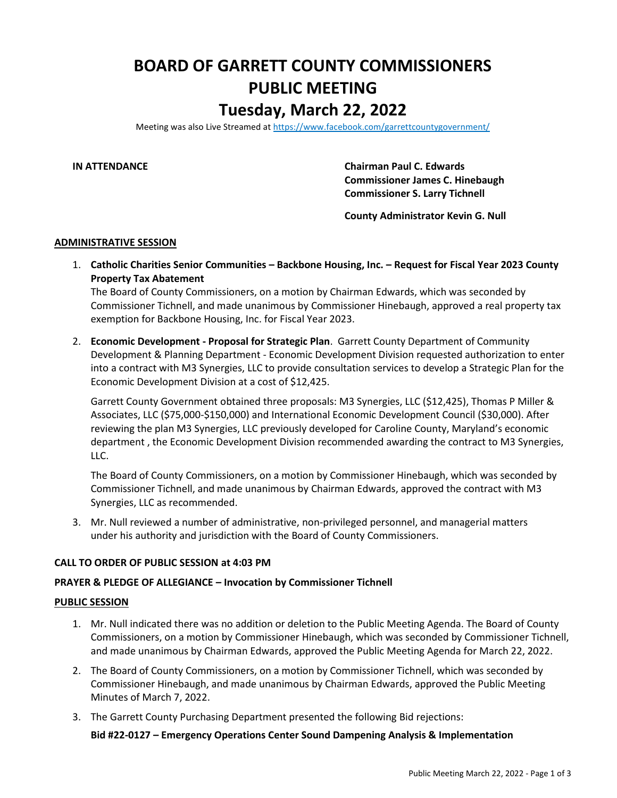# **BOARD OF GARRETT COUNTY COMMISSIONERS PUBLIC MEETING Tuesday, March 22, 2022**

Meeting was also Live Streamed at<https://www.facebook.com/garrettcountygovernment/>

**IN ATTENDANCE Chairman Paul C. Edwards Commissioner James C. Hinebaugh Commissioner S. Larry Tichnell**

**County Administrator Kevin G. Null**

#### **ADMINISTRATIVE SESSION**

1. **Catholic Charities Senior Communities – Backbone Housing, Inc. – Request for Fiscal Year 2023 County Property Tax Abatement**

The Board of County Commissioners, on a motion by Chairman Edwards, which was seconded by Commissioner Tichnell, and made unanimous by Commissioner Hinebaugh, approved a real property tax exemption for Backbone Housing, Inc. for Fiscal Year 2023.

2. **Economic Development - Proposal for Strategic Plan**. Garrett County Department of Community Development & Planning Department - Economic Development Division requested authorization to enter into a contract with M3 Synergies, LLC to provide consultation services to develop a Strategic Plan for the Economic Development Division at a cost of \$12,425.

Garrett County Government obtained three proposals: M3 Synergies, LLC (\$12,425), Thomas P Miller & Associates, LLC (\$75,000-\$150,000) and International Economic Development Council (\$30,000). After reviewing the plan M3 Synergies, LLC previously developed for Caroline County, Maryland's economic department , the Economic Development Division recommended awarding the contract to M3 Synergies, LLC.

The Board of County Commissioners, on a motion by Commissioner Hinebaugh, which was seconded by Commissioner Tichnell, and made unanimous by Chairman Edwards, approved the contract with M3 Synergies, LLC as recommended.

3. Mr. Null reviewed a number of administrative, non-privileged personnel, and managerial matters under his authority and jurisdiction with the Board of County Commissioners.

### **CALL TO ORDER OF PUBLIC SESSION at 4:03 PM**

### **PRAYER & PLEDGE OF ALLEGIANCE – Invocation by Commissioner Tichnell**

#### **PUBLIC SESSION**

- 1. Mr. Null indicated there was no addition or deletion to the Public Meeting Agenda. The Board of County Commissioners, on a motion by Commissioner Hinebaugh, which was seconded by Commissioner Tichnell, and made unanimous by Chairman Edwards, approved the Public Meeting Agenda for March 22, 2022.
- 2. The Board of County Commissioners, on a motion by Commissioner Tichnell, which was seconded by Commissioner Hinebaugh, and made unanimous by Chairman Edwards, approved the Public Meeting Minutes of March 7, 2022.
- 3. The Garrett County Purchasing Department presented the following Bid rejections:

**Bid #22-0127 – Emergency Operations Center Sound Dampening Analysis & Implementation**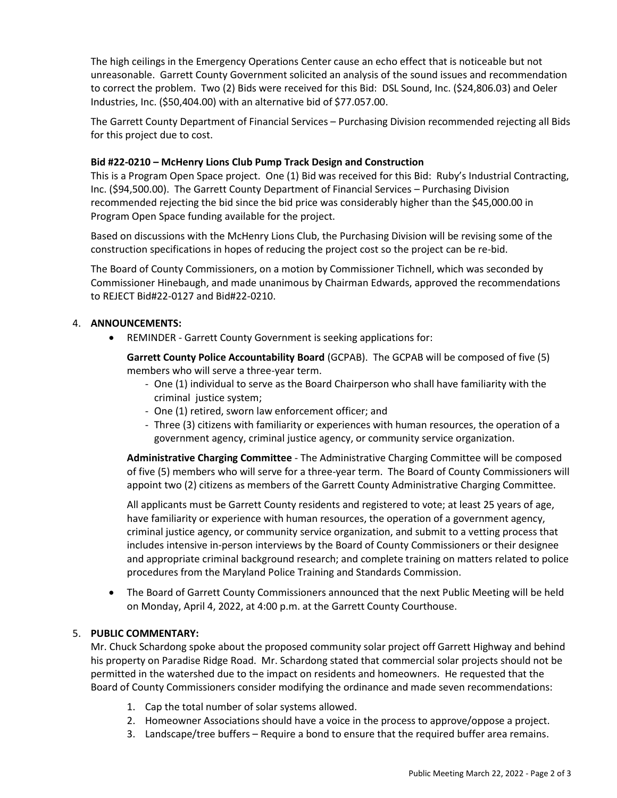The high ceilings in the Emergency Operations Center cause an echo effect that is noticeable but not unreasonable. Garrett County Government solicited an analysis of the sound issues and recommendation to correct the problem. Two (2) Bids were received for this Bid: DSL Sound, Inc. (\$24,806.03) and Oeler Industries, Inc. (\$50,404.00) with an alternative bid of \$77.057.00.

The Garrett County Department of Financial Services – Purchasing Division recommended rejecting all Bids for this project due to cost.

# **Bid #22-0210 – McHenry Lions Club Pump Track Design and Construction**

This is a Program Open Space project. One (1) Bid was received for this Bid: Ruby's Industrial Contracting, Inc. (\$94,500.00). The Garrett County Department of Financial Services – Purchasing Division recommended rejecting the bid since the bid price was considerably higher than the \$45,000.00 in Program Open Space funding available for the project.

Based on discussions with the McHenry Lions Club, the Purchasing Division will be revising some of the construction specifications in hopes of reducing the project cost so the project can be re-bid.

The Board of County Commissioners, on a motion by Commissioner Tichnell, which was seconded by Commissioner Hinebaugh, and made unanimous by Chairman Edwards, approved the recommendations to REJECT Bid#22-0127 and Bid#22-0210.

# 4. **ANNOUNCEMENTS:**

• REMINDER - Garrett County Government is seeking applications for:

**Garrett County Police Accountability Board** (GCPAB).The GCPAB will be composed of five (5) members who will serve a three-year term.

- One (1) individual to serve as the Board Chairperson who shall have familiarity with the criminal justice system;
- One (1) retired, sworn law enforcement officer; and
- Three (3) citizens with familiarity or experiences with human resources, the operation of a government agency, criminal justice agency, or community service organization.

**Administrative Charging Committee** - The Administrative Charging Committee will be composed of five (5) members who will serve for a three-year term. The Board of County Commissioners will appoint two (2) citizens as members of the Garrett County Administrative Charging Committee.

All applicants must be Garrett County residents and registered to vote; at least 25 years of age, have familiarity or experience with human resources, the operation of a government agency, criminal justice agency, or community service organization, and submit to a vetting process that includes intensive in-person interviews by the Board of County Commissioners or their designee and appropriate criminal background research; and complete training on matters related to police procedures from the Maryland Police Training and Standards Commission.

• The Board of Garrett County Commissioners announced that the next Public Meeting will be held on Monday, April 4, 2022, at 4:00 p.m. at the Garrett County Courthouse.

# 5. **PUBLIC COMMENTARY:**

Mr. Chuck Schardong spoke about the proposed community solar project off Garrett Highway and behind his property on Paradise Ridge Road. Mr. Schardong stated that commercial solar projects should not be permitted in the watershed due to the impact on residents and homeowners. He requested that the Board of County Commissioners consider modifying the ordinance and made seven recommendations:

- 1. Cap the total number of solar systems allowed.
- 2. Homeowner Associations should have a voice in the process to approve/oppose a project.
- 3. Landscape/tree buffers Require a bond to ensure that the required buffer area remains.